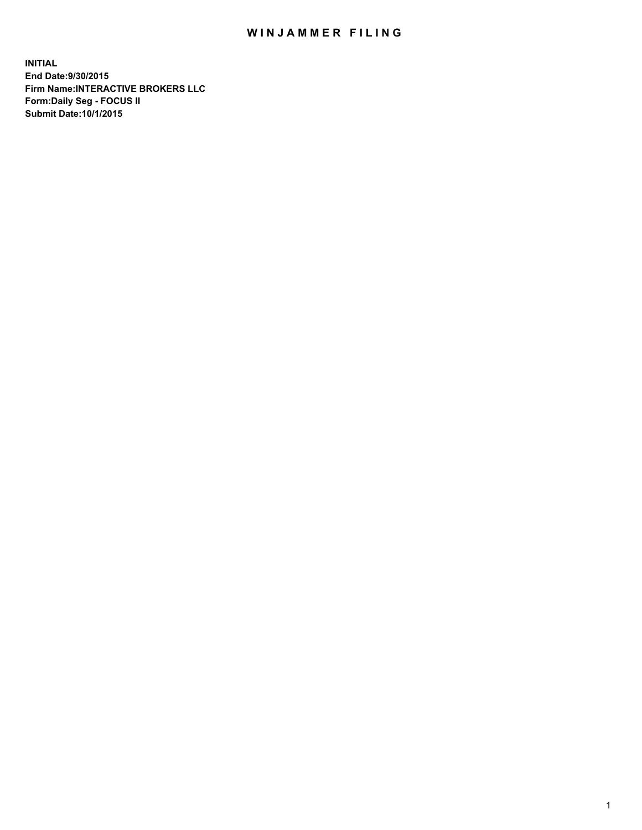## WIN JAMMER FILING

**INITIAL End Date:9/30/2015 Firm Name:INTERACTIVE BROKERS LLC Form:Daily Seg - FOCUS II Submit Date:10/1/2015**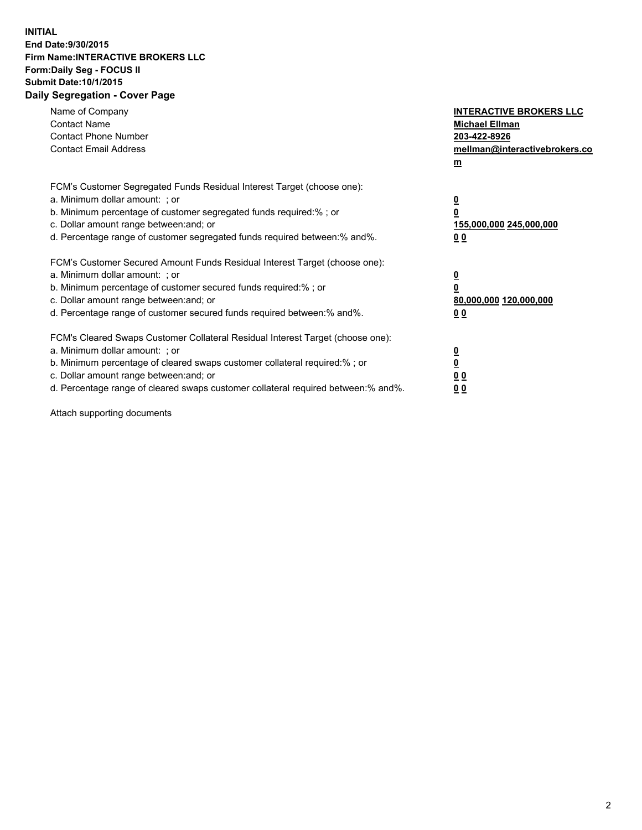## **INITIAL End Date:9/30/2015 Firm Name:INTERACTIVE BROKERS LLC Form:Daily Seg - FOCUS II Submit Date:10/1/2015 Daily Segregation - Cover Page**

| Name of Company<br><b>Contact Name</b><br><b>Contact Phone Number</b><br><b>Contact Email Address</b>                                                                                                                                                                                                                          | <b>INTERACTIVE BROKERS LLC</b><br><b>Michael Ellman</b><br>203-422-8926<br>mellman@interactivebrokers.co<br>$m$ |
|--------------------------------------------------------------------------------------------------------------------------------------------------------------------------------------------------------------------------------------------------------------------------------------------------------------------------------|-----------------------------------------------------------------------------------------------------------------|
| FCM's Customer Segregated Funds Residual Interest Target (choose one):<br>a. Minimum dollar amount: ; or<br>b. Minimum percentage of customer segregated funds required:% ; or<br>c. Dollar amount range between: and; or<br>d. Percentage range of customer segregated funds required between: % and %.                       | $\overline{\mathbf{0}}$<br>0<br>155,000,000 245,000,000<br>00                                                   |
| FCM's Customer Secured Amount Funds Residual Interest Target (choose one):<br>a. Minimum dollar amount: ; or<br>b. Minimum percentage of customer secured funds required:%; or<br>c. Dollar amount range between: and; or<br>d. Percentage range of customer secured funds required between: % and %.                          | $\overline{\mathbf{0}}$<br>0<br>80,000,000 120,000,000<br>0 <sub>0</sub>                                        |
| FCM's Cleared Swaps Customer Collateral Residual Interest Target (choose one):<br>a. Minimum dollar amount: ; or<br>b. Minimum percentage of cleared swaps customer collateral required:% ; or<br>c. Dollar amount range between: and; or<br>d. Percentage range of cleared swaps customer collateral required between:% and%. | $\overline{\mathbf{0}}$<br>$\underline{\mathbf{0}}$<br>0 <sub>0</sub><br>0 <sub>0</sub>                         |

Attach supporting documents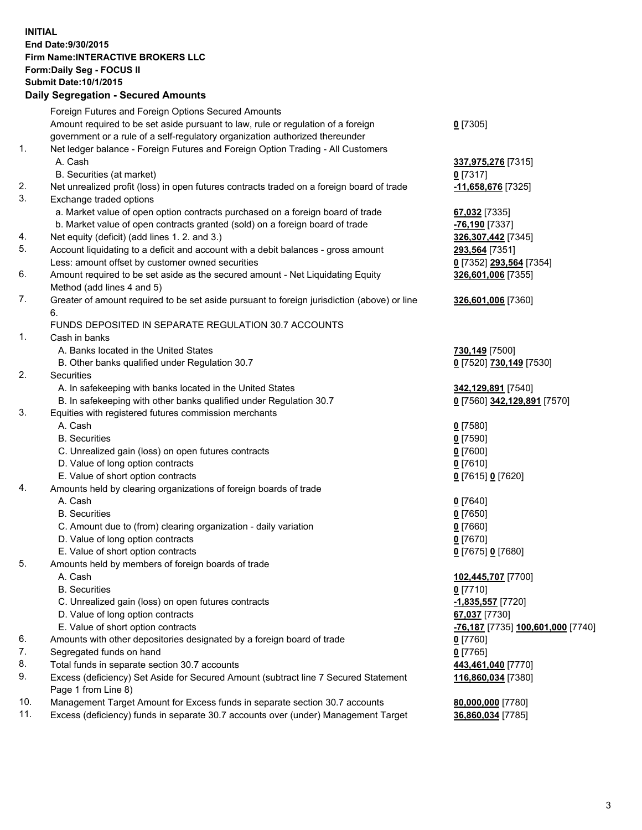## **INITIAL End Date:9/30/2015 Firm Name:INTERACTIVE BROKERS LLC Form:Daily Seg - FOCUS II Submit Date:10/1/2015 Daily Segregation - Secured Amounts**

|                | Daily Jegregation - Jeculed Aniounts                                                                       |                                   |
|----------------|------------------------------------------------------------------------------------------------------------|-----------------------------------|
|                | Foreign Futures and Foreign Options Secured Amounts                                                        |                                   |
|                | Amount required to be set aside pursuant to law, rule or regulation of a foreign                           | $0$ [7305]                        |
|                | government or a rule of a self-regulatory organization authorized thereunder                               |                                   |
| 1.             | Net ledger balance - Foreign Futures and Foreign Option Trading - All Customers                            |                                   |
|                | A. Cash                                                                                                    | 337,975,276 [7315]                |
|                | B. Securities (at market)                                                                                  | $0$ [7317]                        |
| 2.             | Net unrealized profit (loss) in open futures contracts traded on a foreign board of trade                  | -11,658,676 [7325]                |
| 3.             | Exchange traded options                                                                                    |                                   |
|                | a. Market value of open option contracts purchased on a foreign board of trade                             | 67,032 [7335]                     |
|                | b. Market value of open contracts granted (sold) on a foreign board of trade                               | -76,190 <sup>[7337]</sup>         |
| 4.             | Net equity (deficit) (add lines 1.2. and 3.)                                                               | 326,307,442 [7345]                |
| 5.             | Account liquidating to a deficit and account with a debit balances - gross amount                          | 293,564 [7351]                    |
|                | Less: amount offset by customer owned securities                                                           | 0 [7352] 293,564 [7354]           |
| 6.             | Amount required to be set aside as the secured amount - Net Liquidating Equity                             | 326,601,006 [7355]                |
|                | Method (add lines 4 and 5)                                                                                 |                                   |
| 7.             | Greater of amount required to be set aside pursuant to foreign jurisdiction (above) or line                | 326,601,006 [7360]                |
|                | 6.                                                                                                         |                                   |
|                | FUNDS DEPOSITED IN SEPARATE REGULATION 30.7 ACCOUNTS                                                       |                                   |
| 1 <sub>1</sub> | Cash in banks                                                                                              |                                   |
|                | A. Banks located in the United States                                                                      | 730,149 [7500]                    |
|                | B. Other banks qualified under Regulation 30.7                                                             | 0 [7520] 730,149 [7530]           |
| 2.             | Securities                                                                                                 |                                   |
|                | A. In safekeeping with banks located in the United States                                                  | 342,129,891 [7540]                |
|                | B. In safekeeping with other banks qualified under Regulation 30.7                                         | 0 [7560] 342,129,891 [7570]       |
| 3.             | Equities with registered futures commission merchants                                                      |                                   |
|                | A. Cash                                                                                                    | $0$ [7580]                        |
|                | <b>B.</b> Securities                                                                                       | $0$ [7590]                        |
|                | C. Unrealized gain (loss) on open futures contracts                                                        | $0$ [7600]                        |
|                | D. Value of long option contracts                                                                          | $0$ [7610]                        |
|                | E. Value of short option contracts                                                                         | 0 [7615] 0 [7620]                 |
| 4.             | Amounts held by clearing organizations of foreign boards of trade                                          |                                   |
|                | A. Cash                                                                                                    | $0$ [7640]                        |
|                | <b>B.</b> Securities                                                                                       | $0$ [7650]                        |
|                | C. Amount due to (from) clearing organization - daily variation                                            | $0$ [7660]                        |
|                | D. Value of long option contracts                                                                          | $0$ [7670]                        |
|                | E. Value of short option contracts                                                                         | 0 [7675] 0 [7680]                 |
| 5.             | Amounts held by members of foreign boards of trade                                                         |                                   |
|                | A. Cash                                                                                                    | 102,445,707 [7700]                |
|                | <b>B.</b> Securities                                                                                       | $0$ [7710]                        |
|                | C. Unrealized gain (loss) on open futures contracts                                                        | -1,835,557 [7720]                 |
|                | D. Value of long option contracts                                                                          | 67,037 [7730]                     |
|                | E. Value of short option contracts                                                                         | -76,187 [7735] 100,601,000 [7740] |
| 6.             | Amounts with other depositories designated by a foreign board of trade                                     | $0$ [7760]                        |
| 7.             | Segregated funds on hand                                                                                   | $0$ [7765]                        |
| 8.             | Total funds in separate section 30.7 accounts                                                              | 443,461,040 [7770]                |
| 9.             | Excess (deficiency) Set Aside for Secured Amount (subtract line 7 Secured Statement<br>Page 1 from Line 8) | 116,860,034 [7380]                |
| 10.            | Management Target Amount for Excess funds in separate section 30.7 accounts                                | 80,000,000 [7780]                 |
| 11.            | Excess (deficiency) funds in separate 30.7 accounts over (under) Management Target                         | 36,860,034 [7785]                 |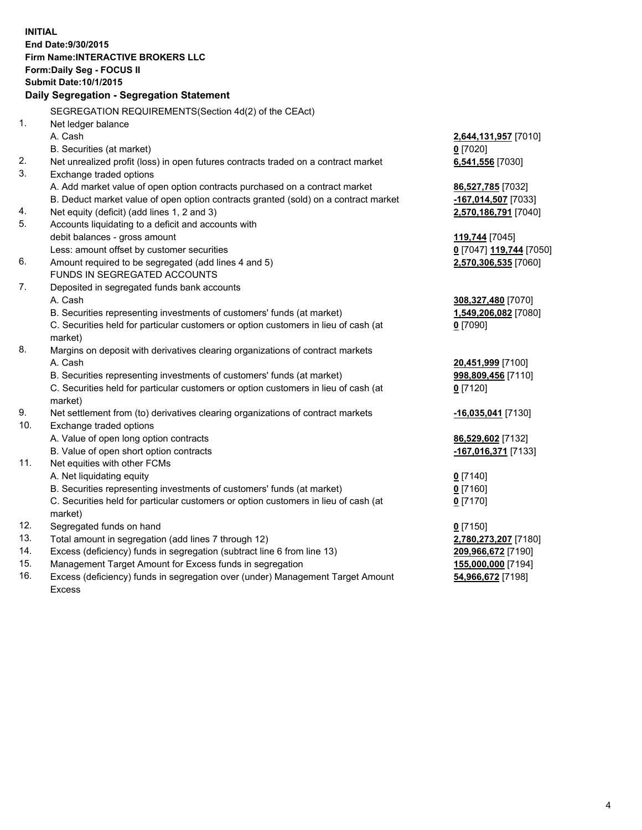**INITIAL End Date:9/30/2015 Firm Name:INTERACTIVE BROKERS LLC Form:Daily Seg - FOCUS II Submit Date:10/1/2015 Daily Segregation - Segregation Statement** SEGREGATION REQUIREMENTS(Section 4d(2) of the CEAct) 1. Net ledger balance A. Cash **2,644,131,957** [7010] B. Securities (at market) **0** [7020] 2. Net unrealized profit (loss) in open futures contracts traded on a contract market **6,541,556** [7030] 3. Exchange traded options A. Add market value of open option contracts purchased on a contract market **86,527,785** [7032] B. Deduct market value of open option contracts granted (sold) on a contract market **-167,014,507** [7033] 4. Net equity (deficit) (add lines 1, 2 and 3) **2,570,186,791** [7040] 5. Accounts liquidating to a deficit and accounts with debit balances - gross amount **119,744** [7045] Less: amount offset by customer securities **0** [7047] **119,744** [7050] 6. Amount required to be segregated (add lines 4 and 5) **2,570,306,535** [7060] FUNDS IN SEGREGATED ACCOUNTS 7. Deposited in segregated funds bank accounts A. Cash **308,327,480** [7070] B. Securities representing investments of customers' funds (at market) **1,549,206,082** [7080] C. Securities held for particular customers or option customers in lieu of cash (at market) **0** [7090] 8. Margins on deposit with derivatives clearing organizations of contract markets A. Cash **20,451,999** [7100] B. Securities representing investments of customers' funds (at market) **998,809,456** [7110] C. Securities held for particular customers or option customers in lieu of cash (at market) **0** [7120] 9. Net settlement from (to) derivatives clearing organizations of contract markets **-16,035,041** [7130] 10. Exchange traded options A. Value of open long option contracts **86,529,602** [7132] B. Value of open short option contracts **-167,016,371** [7133] 11. Net equities with other FCMs A. Net liquidating equity **0** [7140] B. Securities representing investments of customers' funds (at market) **0** [7160] C. Securities held for particular customers or option customers in lieu of cash (at market) **0** [7170] 12. Segregated funds on hand **0** [7150] 13. Total amount in segregation (add lines 7 through 12) **2,780,273,207** [7180] 14. Excess (deficiency) funds in segregation (subtract line 6 from line 13) **209,966,672** [7190] 15. Management Target Amount for Excess funds in segregation **155,000,000** [7194]

16. Excess (deficiency) funds in segregation over (under) Management Target Amount Excess

**54,966,672** [7198]